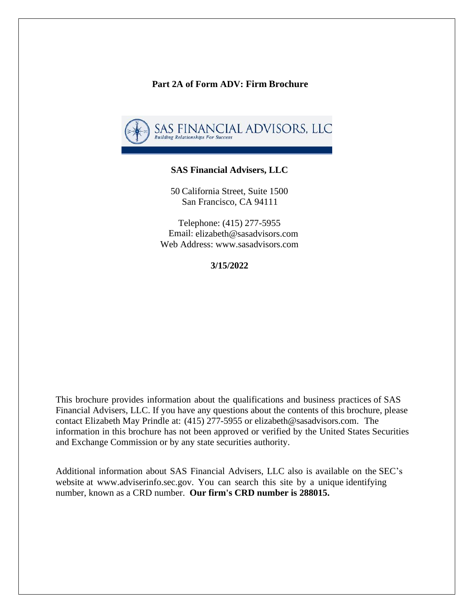#### **Part 2A of Form ADV: Firm Brochure**



#### **SAS Financial Advisers, LLC**

50 California Street, Suite 1500 San Francisco, CA 94111

Telephone: (415) 277-5955 Email: elizabeth@sasadvisors.com Web Addres[s: www.sasadvisors.com](http://www.sasadvisors.com/)

**3/15/2022**

This brochure provides information about the qualifications and business practices of SAS Financial Advisers, LLC. If you have any questions about the contents of this brochure, please contact Elizabeth May Prindle at: (415) 277-5955 or [elizabeth@sasadvisors.com.](mailto:scott@sasadvisors.com) The information in this brochure has not been approved or verified by the United States Securities and Exchange Commission or by any state securities authority.

Additional information about SAS Financial Advisers, LLC also is available on the SEC's website at [www.adviserinfo.sec.gov.](http://www.adviserinfo.sec.gov/) You can search this site by a unique identifying number, known as a CRD number. **Our firm's CRD number is 288015.**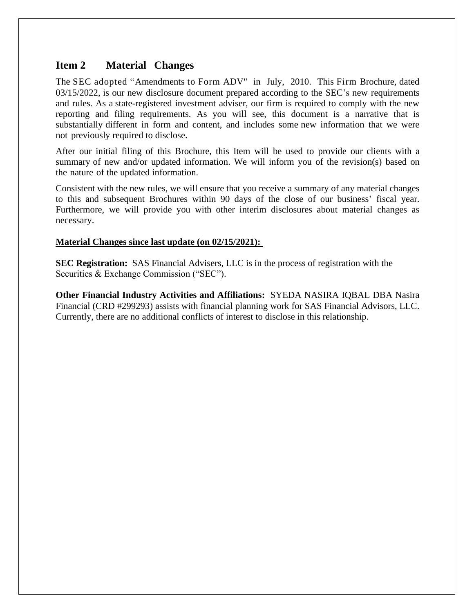## **Item 2 Material Changes**

The SEC adopted "Amendments to Form ADV" in July, 2010. This Firm Brochure, dated 03/15/2022, is our new disclosure document prepared according to the SEC's new requirements and rules. As a state-registered investment adviser, our firm is required to comply with the new reporting and filing requirements. As you will see, this document is a narrative that is substantially different in form and content, and includes some new information that we were not previously required to disclose.

After our initial filing of this Brochure, this Item will be used to provide our clients with a summary of new and/or updated information. We will inform you of the revision(s) based on the nature of the updated information.

Consistent with the new rules, we will ensure that you receive a summary of any material changes to this and subsequent Brochures within 90 days of the close of our business' fiscal year. Furthermore, we will provide you with other interim disclosures about material changes as necessary.

#### **Material Changes since last update (on 02/15/2021):**

**SEC Registration:** SAS Financial Advisers, LLC is in the process of registration with the Securities & Exchange Commission ("SEC").

**Other Financial Industry Activities and Affiliations:** SYEDA NASIRA IQBAL DBA Nasira Financial (CRD #299293) assists with financial planning work for SAS Financial Advisors, LLC. Currently, there are no additional conflicts of interest to disclose in this relationship.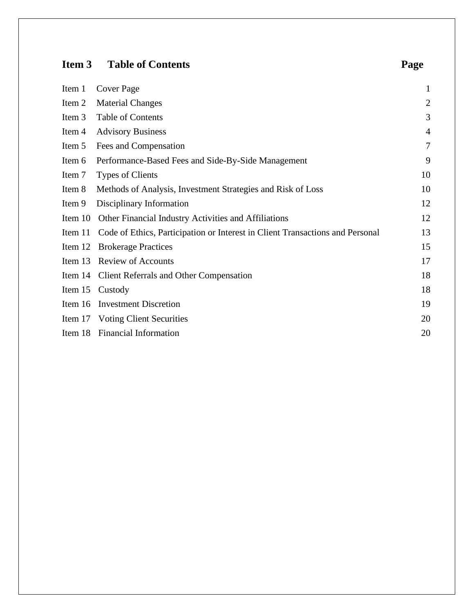# **Item 3 Table of Contents Page**

| Item 1 Cover Page                                         | $\mathbf{1}$   |
|-----------------------------------------------------------|----------------|
| Item 2 Material Changes                                   | 2              |
| Item 3 Table of Contents                                  | 3              |
| Item 4 Advisory Business                                  | $\overline{4}$ |
| Item 5 Fees and Compensation                              | $\tau$         |
| Item 6 Performance-Based Fees and Side-By-Side Management | 9              |
|                                                           |                |

|        | Item 6 Performance-Based Fees and Side-By-Side Management                             | 9  |
|--------|---------------------------------------------------------------------------------------|----|
| Item 7 | <b>Types of Clients</b>                                                               | 10 |
| Item 8 | Methods of Analysis, Investment Strategies and Risk of Loss                           | 10 |
| Item 9 | Disciplinary Information                                                              | 12 |
|        | Item 10 Other Financial Industry Activities and Affiliations                          | 12 |
|        | Item 11 Code of Ethics, Participation or Interest in Client Transactions and Personal | 13 |
|        | Item 12 Brokerage Practices                                                           | 15 |
|        | Item 13 Review of Accounts                                                            | 17 |
|        | Item 14 Client Referrals and Other Compensation                                       | 18 |
|        | Item 15 Custody                                                                       | 18 |
|        | Item 16 Investment Discretion                                                         | 19 |
|        | Item 17 Voting Client Securities                                                      | 20 |
|        | Item 18 Financial Information                                                         | 20 |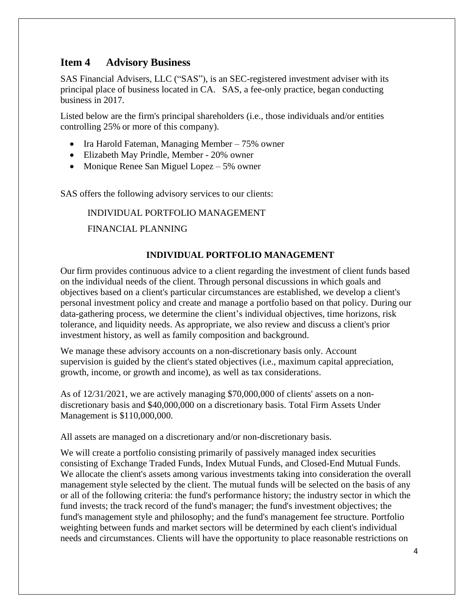## **Item 4 Advisory Business**

SAS Financial Advisers, LLC ("SAS"), is an SEC-registered investment adviser with its principal place of business located in CA. SAS, a fee-only practice, began conducting business in 2017.

Listed below are the firm's principal shareholders (i.e., those individuals and/or entities controlling 25% or more of this company).

- Ira Harold Fateman, Managing Member 75% owner
- Elizabeth May Prindle, Member 20% owner
- Monique Renee San Miguel Lopez 5% owner

SAS offers the following advisory services to our clients:

INDIVIDUAL PORTFOLIO MANAGEMENT FINANCIAL PLANNING

### **INDIVIDUAL PORTFOLIO MANAGEMENT**

Our firm provides continuous advice to a client regarding the investment of client funds based on the individual needs of the client. Through personal discussions in which goals and objectives based on a client's particular circumstances are established, we develop a client's personal investment policy and create and manage a portfolio based on that policy. During our data-gathering process, we determine the client's individual objectives, time horizons, risk tolerance, and liquidity needs. As appropriate, we also review and discuss a client's prior investment history, as well as family composition and background.

We manage these advisory accounts on a non-discretionary basis only. Account supervision is guided by the client's stated objectives (i.e., maximum capital appreciation, growth, income, or growth and income), as well as tax considerations.

As of 12/31/2021, we are actively managing \$70,000,000 of clients' assets on a nondiscretionary basis and \$40,000,000 on a discretionary basis. Total Firm Assets Under Management is \$110,000,000.

All assets are managed on a discretionary and/or non-discretionary basis.

We will create a portfolio consisting primarily of passively managed index securities consisting of Exchange Traded Funds, Index Mutual Funds, and Closed-End Mutual Funds. We allocate the client's assets among various investments taking into consideration the overall management style selected by the client. The mutual funds will be selected on the basis of any or all of the following criteria: the fund's performance history; the industry sector in which the fund invests; the track record of the fund's manager; the fund's investment objectives; the fund's management style and philosophy; and the fund's management fee structure. Portfolio weighting between funds and market sectors will be determined by each client's individual needs and circumstances. Clients will have the opportunity to place reasonable restrictions on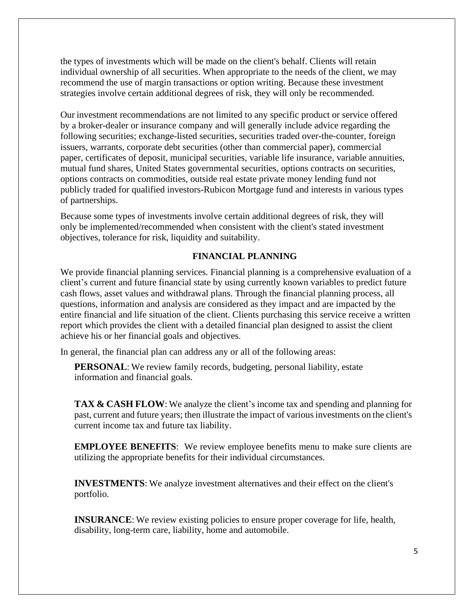the types of investments which will be made on the client's behalf. Clients will retain individual ownership of all securities. When appropriate to the needs of the client, we may recommend the use of margin transactions or option writing. Because these investment strategies involve certain additional degrees of risk, they will only be recommended.

Our investment recommendations are not limited to any specific product or service offered by a broker-dealer or insurance company and will generally include advice regarding the following securities; exchange-listed securities, securities traded over-the-counter, foreign issuers, warrants, corporate debt securities (other than commercial paper), commercial paper, certificates of deposit, municipal securities, variable life insurance, variable annuities, mutual fund shares, United States governmental securities, options contracts on securities, options contracts on commodities, outside real estate private money lending fund not publicly traded for qualified investors-Rubicon Mortgage fund and interests in various types of partnerships.

Because some types of investments involve certain additional degrees of risk, they will only be implemented/recommended when consistent with the client's stated investment objectives, tolerance for risk, liquidity and suitability.

### **FINANCIAL PLANNING**

We provide financial planning services. Financial planning is a comprehensive evaluation of a client's current and future financial state by using currently known variables to predict future cash flows, asset values and withdrawal plans. Through the financial planning process, all questions, information and analysis are considered as they impact and are impacted by the entire financial and life situation of the client. Clients purchasing this service receive a written report which provides the client with a detailed financial plan designed to assist the client achieve his or her financial goals and objectives.

In general, the financial plan can address any or all of the following areas:

**PERSONAL:** We review family records, budgeting, personal liability, estate information and financial goals.

**TAX & CASH FLOW**: We analyze the client's income tax and spending and planning for past, current and future years; then illustrate the impact of variousinvestments on the client's current income tax and future tax liability.

**EMPLOYEE BENEFITS:** We review employee benefits menu to make sure clients are utilizing the appropriate benefits for their individual circumstances.

**INVESTMENTS**: We analyze investment alternatives and their effect on the client's portfolio.

**INSURANCE:** We review existing policies to ensure proper coverage for life, health, disability, long-term care, liability, home and automobile.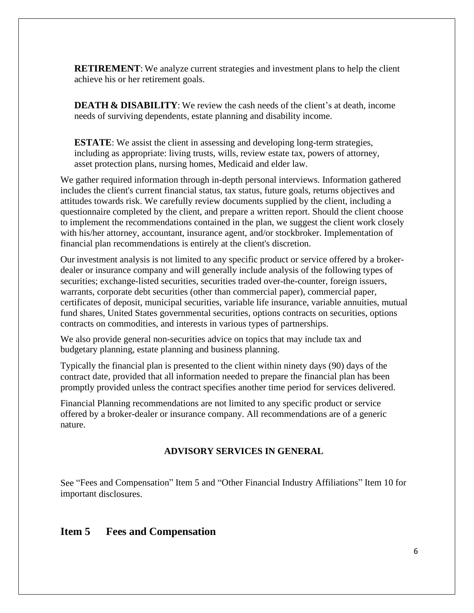**RETIREMENT**: We analyze current strategies and investment plans to help the client achieve his or her retirement goals.

**DEATH & DISABILITY**: We review the cash needs of the client's at death, income needs of surviving dependents, estate planning and disability income.

**ESTATE:** We assist the client in assessing and developing long-term strategies, including as appropriate: living trusts, wills, review estate tax, powers of attorney, asset protection plans, nursing homes, Medicaid and elder law.

We gather required information through in-depth personal interviews. Information gathered includes the client's current financial status, tax status, future goals, returns objectives and attitudes towards risk. We carefully review documents supplied by the client, including a questionnaire completed by the client, and prepare a written report. Should the client choose to implement the recommendations contained in the plan, we suggest the client work closely with his/her attorney, accountant, insurance agent, and/or stockbroker. Implementation of financial plan recommendations is entirely at the client's discretion.

Our investment analysis is not limited to any specific product or service offered by a brokerdealer or insurance company and will generally include analysis of the following types of securities; exchange-listed securities, securities traded over-the-counter, foreign issuers, warrants, corporate debt securities (other than commercial paper), commercial paper, certificates of deposit, municipal securities, variable life insurance, variable annuities, mutual fund shares, United States governmental securities, options contracts on securities, options contracts on commodities, and interests in various types of partnerships.

We also provide general non-securities advice on topics that may include tax and budgetary planning, estate planning and business planning.

Typically the financial plan is presented to the client within ninety days (90) days of the contract date, provided that all information needed to prepare the financial plan has been promptly provided unless the contract specifies another time period for services delivered.

Financial Planning recommendations are not limited to any specific product or service offered by a broker-dealer or insurance company. All recommendations are of a generic nature.

#### **ADVISORY SERVICES IN GENERAL**

See "Fees and Compensation" Item 5 and "Other Financial Industry Affiliations" Item 10 for important disclosures.

### **Item 5 Fees and Compensation**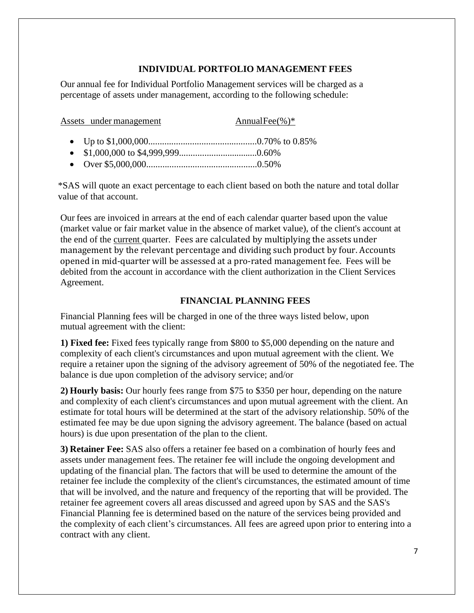### **INDIVIDUAL PORTFOLIO MANAGEMENT FEES**

Our annual fee for Individual Portfolio Management services will be charged as a percentage of assets under management, according to the following schedule:

| Assets under management | AnnualFee $(\%)^*$ |
|-------------------------|--------------------|
|                         |                    |
|                         |                    |

• Over \$5,000,000................................................0.50%

\*SAS will quote an exact percentage to each client based on both the nature and total dollar value of that account.

Our fees are invoiced in arrears at the end of each calendar quarter based upon the value (market value or fair market value in the absence of market value), of the client's account at the end of the current quarter. Fees are calculated by multiplying the assets under management by the relevant percentage and dividing such product by four. Accounts opened in mid-quarter will be assessed at a pro-rated management fee. Fees will be debited from the account in accordance with the client authorization in the Client Services Agreement.

#### **FINANCIAL PLANNING FEES**

Financial Planning fees will be charged in one of the three ways listed below, upon mutual agreement with the client:

**1) Fixed fee:** Fixed fees typically range from \$800 to \$5,000 depending on the nature and complexity of each client's circumstances and upon mutual agreement with the client. We require a retainer upon the signing of the advisory agreement of 50% of the negotiated fee. The balance is due upon completion of the advisory service; and/or

**2) Hourly basis:** Our hourly fees range from \$75 to \$350 per hour, depending on the nature and complexity of each client's circumstances and upon mutual agreement with the client. An estimate for total hours will be determined at the start of the advisory relationship. 50% of the estimated fee may be due upon signing the advisory agreement. The balance (based on actual hours) is due upon presentation of the plan to the client.

**3) Retainer Fee:** SAS also offers a retainer fee based on a combination of hourly fees and assets under management fees. The retainer fee will include the ongoing development and updating of the financial plan. The factors that will be used to determine the amount of the retainer fee include the complexity of the client's circumstances, the estimated amount of time that will be involved, and the nature and frequency of the reporting that will be provided. The retainer fee agreement covers all areas discussed and agreed upon by SAS and the SAS's Financial Planning fee is determined based on the nature of the services being provided and the complexity of each client's circumstances. All fees are agreed upon prior to entering into a contract with any client.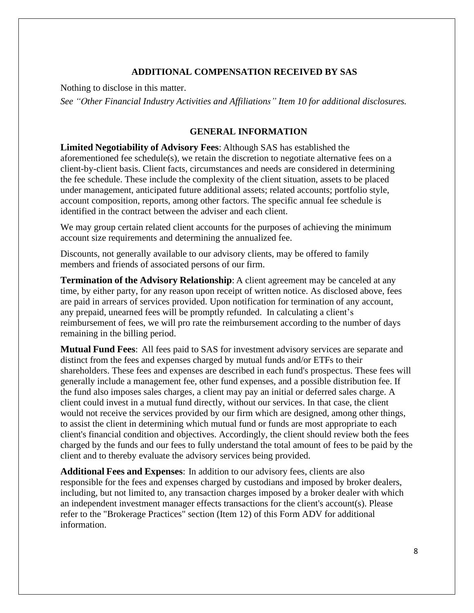#### **ADDITIONAL COMPENSATION RECEIVED BY SAS**

Nothing to disclose in this matter.

*See "Other Financial Industry Activities and Affiliations" Item 10 for additional disclosures.*

#### **GENERAL INFORMATION**

**Limited Negotiability of Advisory Fees**: Although SAS has established the aforementioned fee schedule(s), we retain the discretion to negotiate alternative fees on a client-by-client basis. Client facts, circumstances and needs are considered in determining the fee schedule. These include the complexity of the client situation, assets to be placed under management, anticipated future additional assets; related accounts; portfolio style, account composition, reports, among other factors. The specific annual fee schedule is identified in the contract between the adviser and each client.

We may group certain related client accounts for the purposes of achieving the minimum account size requirements and determining the annualized fee.

Discounts, not generally available to our advisory clients, may be offered to family members and friends of associated persons of our firm.

**Termination of the Advisory Relationship**: A client agreement may be canceled at any time, by either party, for any reason upon receipt of written notice. As disclosed above, fees are paid in arrears of services provided. Upon notification for termination of any account, any prepaid, unearned fees will be promptly refunded. In calculating a client's reimbursement of fees, we will pro rate the reimbursement according to the number of days remaining in the billing period.

**Mutual Fund Fees**: All fees paid to SAS for investment advisory services are separate and distinct from the fees and expenses charged by mutual funds and/or ETFs to their shareholders. These fees and expenses are described in each fund's prospectus. These fees will generally include a management fee, other fund expenses, and a possible distribution fee. If the fund also imposes sales charges, a client may pay an initial or deferred sales charge. A client could invest in a mutual fund directly, without our services. In that case, the client would not receive the services provided by our firm which are designed, among other things, to assist the client in determining which mutual fund or funds are most appropriate to each client's financial condition and objectives. Accordingly, the client should review both the fees charged by the funds and our fees to fully understand the total amount of fees to be paid by the client and to thereby evaluate the advisory services being provided.

**Additional Fees and Expenses**: In addition to our advisory fees, clients are also responsible for the fees and expenses charged by custodians and imposed by broker dealers, including, but not limited to, any transaction charges imposed by a broker dealer with which an independent investment manager effects transactions for the client's account(s). Please refer to the "Brokerage Practices" section (Item 12) of this Form ADV for additional information.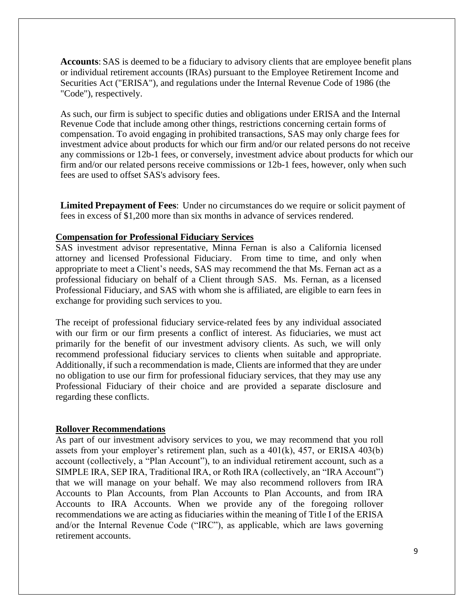**Accounts**: SAS is deemed to be a fiduciary to advisory clients that are employee benefit plans or individual retirement accounts (IRAs) pursuant to the Employee Retirement Income and Securities Act ("ERISA"), and regulations under the Internal Revenue Code of 1986 (the "Code"), respectively.

As such, our firm is subject to specific duties and obligations under ERISA and the Internal Revenue Code that include among other things, restrictions concerning certain forms of compensation. To avoid engaging in prohibited transactions, SAS may only charge fees for investment advice about products for which our firm and/or our related persons do not receive any commissions or 12b-1 fees, or conversely, investment advice about products for which our firm and/or our related persons receive commissions or 12b-1 fees, however, only when such fees are used to offset SAS's advisory fees.

**Limited Prepayment of Fees**: Under no circumstances do we require or solicit payment of fees in excess of \$1,200 more than six months in advance of services rendered.

#### **Compensation for Professional Fiduciary Services**

SAS investment advisor representative, Minna Fernan is also a California licensed attorney and licensed Professional Fiduciary. From time to time, and only when appropriate to meet a Client's needs, SAS may recommend the that Ms. Fernan act as a professional fiduciary on behalf of a Client through SAS. Ms. Fernan, as a licensed Professional Fiduciary, and SAS with whom she is affiliated, are eligible to earn fees in exchange for providing such services to you.

The receipt of professional fiduciary service-related fees by any individual associated with our firm or our firm presents a conflict of interest. As fiduciaries, we must act primarily for the benefit of our investment advisory clients. As such, we will only recommend professional fiduciary services to clients when suitable and appropriate. Additionally, if such a recommendation is made, Clients are informed that they are under no obligation to use our firm for professional fiduciary services, that they may use any Professional Fiduciary of their choice and are provided a separate disclosure and regarding these conflicts.

#### **Rollover Recommendations**

As part of our investment advisory services to you, we may recommend that you roll assets from your employer's retirement plan, such as a 401(k), 457, or ERISA 403(b) account (collectively, a "Plan Account"), to an individual retirement account, such as a SIMPLE IRA, SEP IRA, Traditional IRA, or Roth IRA (collectively, an "IRA Account") that we will manage on your behalf. We may also recommend rollovers from IRA Accounts to Plan Accounts, from Plan Accounts to Plan Accounts, and from IRA Accounts to IRA Accounts. When we provide any of the foregoing rollover recommendations we are acting as fiduciaries within the meaning of Title I of the ERISA and/or the Internal Revenue Code ("IRC"), as applicable, which are laws governing retirement accounts.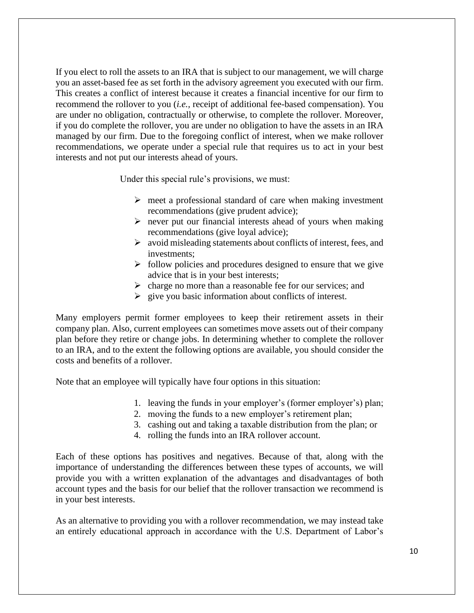If you elect to roll the assets to an IRA that is subject to our management, we will charge you an asset-based fee as set forth in the advisory agreement you executed with our firm. This creates a conflict of interest because it creates a financial incentive for our firm to recommend the rollover to you (*i.e.,* receipt of additional fee-based compensation). You are under no obligation, contractually or otherwise, to complete the rollover. Moreover, if you do complete the rollover, you are under no obligation to have the assets in an IRA managed by our firm. Due to the foregoing conflict of interest, when we make rollover recommendations, we operate under a special rule that requires us to act in your best interests and not put our interests ahead of yours.

Under this special rule's provisions, we must:

- $\triangleright$  meet a professional standard of care when making investment recommendations (give prudent advice);
- $\triangleright$  never put our financial interests ahead of yours when making recommendations (give loyal advice);
- ➢ avoid misleading statements about conflicts of interest, fees, and investments;
- $\triangleright$  follow policies and procedures designed to ensure that we give advice that is in your best interests;
- ➢ charge no more than a reasonable fee for our services; and
- $\triangleright$  give you basic information about conflicts of interest.

Many employers permit former employees to keep their retirement assets in their company plan. Also, current employees can sometimes move assets out of their company plan before they retire or change jobs. In determining whether to complete the rollover to an IRA, and to the extent the following options are available, you should consider the costs and benefits of a rollover.

Note that an employee will typically have four options in this situation:

- 1. leaving the funds in your employer's (former employer's) plan;
- 2. moving the funds to a new employer's retirement plan;
- 3. cashing out and taking a taxable distribution from the plan; or
- 4. rolling the funds into an IRA rollover account.

Each of these options has positives and negatives. Because of that, along with the importance of understanding the differences between these types of accounts, we will provide you with a written explanation of the advantages and disadvantages of both account types and the basis for our belief that the rollover transaction we recommend is in your best interests.

As an alternative to providing you with a rollover recommendation, we may instead take an entirely educational approach in accordance with the U.S. Department of Labor's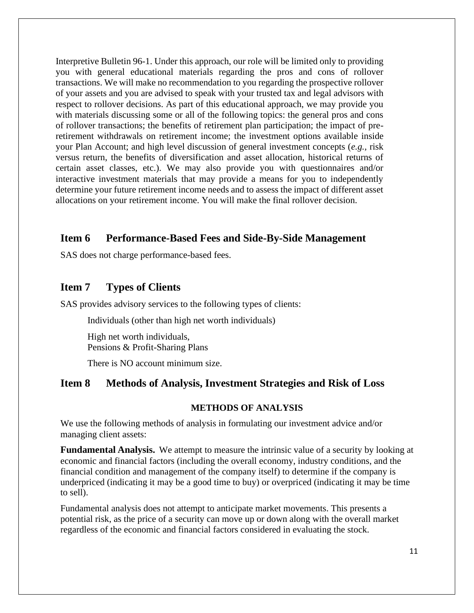Interpretive Bulletin 96-1. Under this approach, our role will be limited only to providing you with general educational materials regarding the pros and cons of rollover transactions. We will make no recommendation to you regarding the prospective rollover of your assets and you are advised to speak with your trusted tax and legal advisors with respect to rollover decisions. As part of this educational approach, we may provide you with materials discussing some or all of the following topics: the general pros and cons of rollover transactions; the benefits of retirement plan participation; the impact of preretirement withdrawals on retirement income; the investment options available inside your Plan Account; and high level discussion of general investment concepts (*e.g.,* risk versus return, the benefits of diversification and asset allocation, historical returns of certain asset classes, etc.). We may also provide you with questionnaires and/or interactive investment materials that may provide a means for you to independently determine your future retirement income needs and to assess the impact of different asset allocations on your retirement income. You will make the final rollover decision.

### **Item 6 Performance-Based Fees and Side-By-Side Management**

SAS does not charge performance-based fees.

### **Item 7 Types of Clients**

SAS provides advisory services to the following types of clients:

Individuals (other than high net worth individuals)

High net worth individuals, Pensions & Profit-Sharing Plans

There is NO account minimum size.

### **Item 8 Methods of Analysis, Investment Strategies and Risk of Loss**

#### **METHODS OF ANALYSIS**

We use the following methods of analysis in formulating our investment advice and/or managing client assets:

**Fundamental Analysis.** We attempt to measure the intrinsic value of a security by looking at economic and financial factors (including the overall economy, industry conditions, and the financial condition and management of the company itself) to determine if the company is underpriced (indicating it may be a good time to buy) or overpriced (indicating it may be time to sell).

Fundamental analysis does not attempt to anticipate market movements. This presents a potential risk, as the price of a security can move up or down along with the overall market regardless of the economic and financial factors considered in evaluating the stock.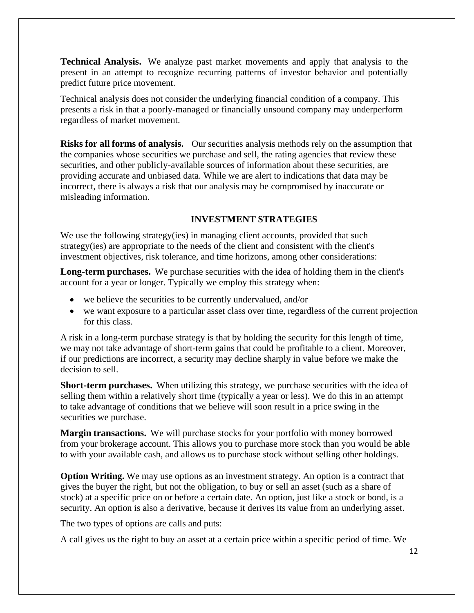**Technical Analysis.** We analyze past market movements and apply that analysis to the present in an attempt to recognize recurring patterns of investor behavior and potentially predict future price movement.

Technical analysis does not consider the underlying financial condition of a company. This presents a risk in that a poorly-managed or financially unsound company may underperform regardless of market movement.

**Risks for all forms of analysis.** Our securities analysis methods rely on the assumption that the companies whose securities we purchase and sell, the rating agencies that review these securities, and other publicly-available sources of information about these securities, are providing accurate and unbiased data. While we are alert to indications that data may be incorrect, there is always a risk that our analysis may be compromised by inaccurate or misleading information.

### **INVESTMENT STRATEGIES**

We use the following strategy(ies) in managing client accounts, provided that such strategy(ies) are appropriate to the needs of the client and consistent with the client's investment objectives, risk tolerance, and time horizons, among other considerations:

**Long-term purchases.** We purchase securities with the idea of holding them in the client's account for a year or longer. Typically we employ this strategy when:

- we believe the securities to be currently undervalued, and/or
- we want exposure to a particular asset class over time, regardless of the current projection for this class.

A risk in a long-term purchase strategy is that by holding the security for this length of time, we may not take advantage of short-term gains that could be profitable to a client. Moreover, if our predictions are incorrect, a security may decline sharply in value before we make the decision to sell.

**Short-term purchases.** When utilizing this strategy, we purchase securities with the idea of selling them within a relatively short time (typically a year or less). We do this in an attempt to take advantage of conditions that we believe will soon result in a price swing in the securities we purchase.

**Margin transactions.** We will purchase stocks for your portfolio with money borrowed from your brokerage account. This allows you to purchase more stock than you would be able to with your available cash, and allows us to purchase stock without selling other holdings.

**Option Writing.** We may use options as an investment strategy. An option is a contract that gives the buyer the right, but not the obligation, to buy or sell an asset (such as a share of stock) at a specific price on or before a certain date. An option, just like a stock or bond, is a security. An option is also a derivative, because it derives its value from an underlying asset.

The two types of options are calls and puts:

A call gives us the right to buy an asset at a certain price within a specific period of time. We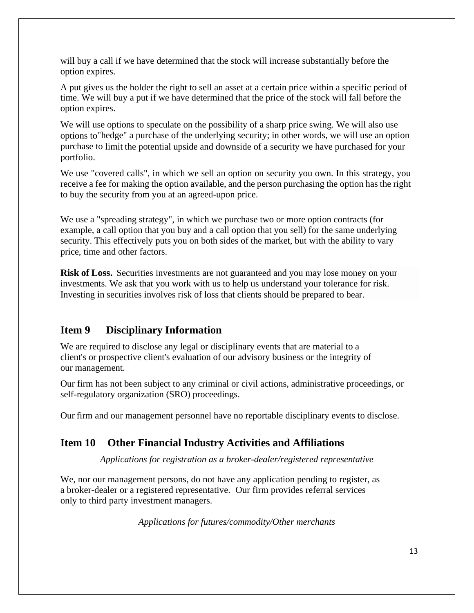will buy a call if we have determined that the stock will increase substantially before the option expires.

A put gives us the holder the right to sell an asset at a certain price within a specific period of time. We will buy a put if we have determined that the price of the stock will fall before the option expires.

We will use options to speculate on the possibility of a sharp price swing. We will also use options to"hedge" a purchase of the underlying security; in other words, we will use an option purchase to limit the potential upside and downside of a security we have purchased for your portfolio.

We use "covered calls", in which we sell an option on security you own. In this strategy, you receive a fee for making the option available, and the person purchasing the option has the right to buy the security from you at an agreed-upon price.

We use a "spreading strategy", in which we purchase two or more option contracts (for example, a call option that you buy and a call option that you sell) for the same underlying security. This effectively puts you on both sides of the market, but with the ability to vary price, time and other factors.

**Risk of Loss.** Securities investments are not guaranteed and you may lose money on your investments. We ask that you work with us to help us understand your tolerance for risk. Investing in securities involves risk of loss that clients should be prepared to bear.

## **Item 9 Disciplinary Information**

We are required to disclose any legal or disciplinary events that are material to a client's or prospective client's evaluation of our advisory business or the integrity of our management.

Our firm has not been subject to any criminal or civil actions, administrative proceedings, or self-regulatory organization (SRO) proceedings.

Our firm and our management personnel have no reportable disciplinary events to disclose.

## **Item 10 Other Financial Industry Activities and Affiliations**

*Applications for registration as a broker-dealer/registered representative*

We, nor our management persons, do not have any application pending to register, as a broker-dealer or a registered representative. Our firm provides referral services only to third party investment managers.

*Applications for futures/commodity/Other merchants*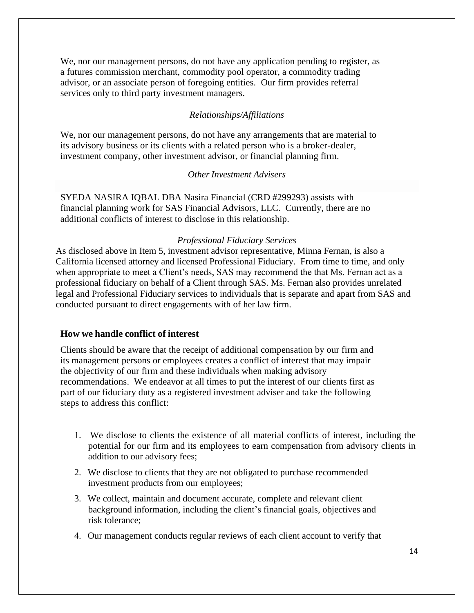We, nor our management persons, do not have any application pending to register, as a futures commission merchant, commodity pool operator, a commodity trading advisor, or an associate person of foregoing entities. Our firm provides referral services only to third party investment managers.

#### *Relationships/Affiliations*

We, nor our management persons, do not have any arrangements that are material to its advisory business or its clients with a related person who is a broker-dealer, investment company, other investment advisor, or financial planning firm.

#### *OtherInvestment Advisers*

SYEDA NASIRA IQBAL DBA Nasira Financial (CRD #299293) assists with financial planning work for SAS Financial Advisors, LLC. Currently, there are no additional conflicts of interest to disclose in this relationship.

#### *Professional Fiduciary Services*

As disclosed above in Item 5, investment advisor representative, Minna Fernan, is also a California licensed attorney and licensed Professional Fiduciary. From time to time, and only when appropriate to meet a Client's needs, SAS may recommend the that Ms. Fernan act as a professional fiduciary on behalf of a Client through SAS. Ms. Fernan also provides unrelated legal and Professional Fiduciary services to individuals that is separate and apart from SAS and conducted pursuant to direct engagements with of her law firm.

#### **How we handle conflict of interest**

Clients should be aware that the receipt of additional compensation by our firm and its management persons or employees creates a conflict of interest that may impair the objectivity of our firm and these individuals when making advisory recommendations. We endeavor at all times to put the interest of our clients first as part of our fiduciary duty as a registered investment adviser and take the following steps to address this conflict:

- 1. We disclose to clients the existence of all material conflicts of interest, including the potential for our firm and its employees to earn compensation from advisory clients in addition to our advisory fees;
- 2. We disclose to clients that they are not obligated to purchase recommended investment products from our employees;
- 3. We collect, maintain and document accurate, complete and relevant client background information, including the client's financial goals, objectives and risk tolerance;
- 4. Our management conducts regular reviews of each client account to verify that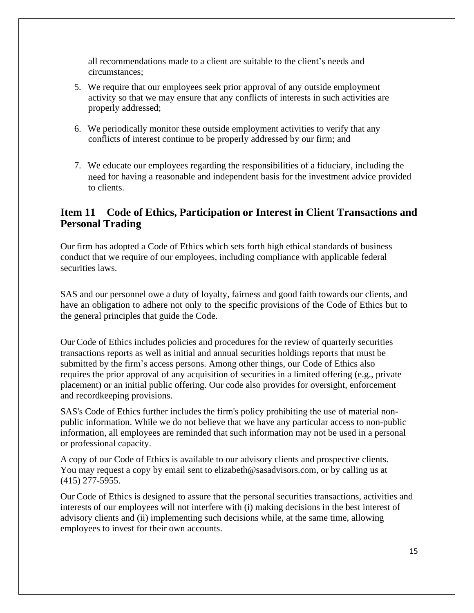all recommendations made to a client are suitable to the client's needs and circumstances;

- 5. We require that our employees seek prior approval of any outside employment activity so that we may ensure that any conflicts of interests in such activities are properly addressed;
- 6. We periodically monitor these outside employment activities to verify that any conflicts of interest continue to be properly addressed by our firm; and
- 7. We educate our employees regarding the responsibilities of a fiduciary, including the need for having a reasonable and independent basis for the investment advice provided to clients.

## **Item 11 Code of Ethics, Participation or Interest in Client Transactions and Personal Trading**

Our firm has adopted a Code of Ethics which sets forth high ethical standards of business conduct that we require of our employees, including compliance with applicable federal securities laws.

SAS and our personnel owe a duty of loyalty, fairness and good faith towards our clients, and have an obligation to adhere not only to the specific provisions of the Code of Ethics but to the general principles that guide the Code.

Our Code of Ethics includes policies and procedures for the review of quarterly securities transactions reports as well as initial and annual securities holdings reports that must be submitted by the firm's access persons. Among other things, our Code of Ethics also requires the prior approval of any acquisition of securities in a limited offering (e.g., private placement) or an initial public offering. Our code also provides for oversight, enforcement and recordkeeping provisions.

SAS's Code of Ethics further includes the firm's policy prohibiting the use of material nonpublic information. While we do not believe that we have any particular access to non-public information, all employees are reminded that such information may not be used in a personal or professional capacity.

A copy of our Code of Ethics is available to our advisory clients and prospective clients. You may request a copy by email s[ent to elizabeth@sasadvisors.com,](mailto:scott@sasadvisors.com) or by calling us at (415) 277-5955.

Our Code of Ethics is designed to assure that the personal securities transactions, activities and interests of our employees will not interfere with (i) making decisions in the best interest of advisory clients and (ii) implementing such decisions while, at the same time, allowing employees to invest for their own accounts.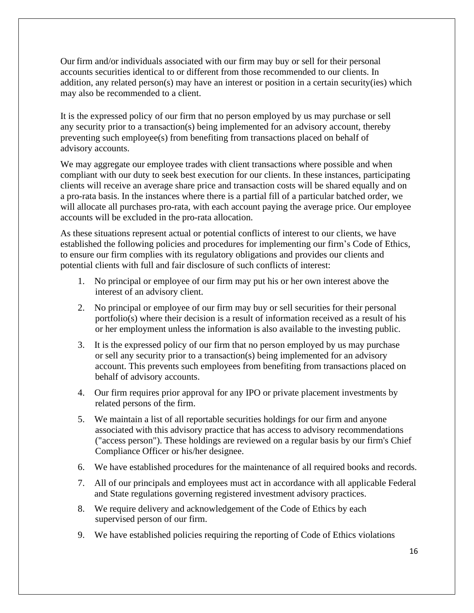Our firm and/or individuals associated with our firm may buy or sell for their personal accounts securities identical to or different from those recommended to our clients. In addition, any related person(s) may have an interest or position in a certain security(ies) which may also be recommended to a client.

It is the expressed policy of our firm that no person employed by us may purchase or sell any security prior to a transaction(s) being implemented for an advisory account, thereby preventing such employee(s) from benefiting from transactions placed on behalf of advisory accounts.

We may aggregate our employee trades with client transactions where possible and when compliant with our duty to seek best execution for our clients. In these instances, participating clients will receive an average share price and transaction costs will be shared equally and on a pro-rata basis. In the instances where there is a partial fill of a particular batched order, we will allocate all purchases pro-rata, with each account paying the average price. Our employee accounts will be excluded in the pro-rata allocation.

As these situations represent actual or potential conflicts of interest to our clients, we have established the following policies and procedures for implementing our firm's Code of Ethics, to ensure our firm complies with its regulatory obligations and provides our clients and potential clients with full and fair disclosure of such conflicts of interest:

- 1. No principal or employee of our firm may put his or her own interest above the interest of an advisory client.
- 2. No principal or employee of our firm may buy or sell securities for their personal portfolio(s) where their decision is a result of information received as a result of his or her employment unless the information is also available to the investing public.
- 3. It is the expressed policy of our firm that no person employed by us may purchase or sell any security prior to a transaction(s) being implemented for an advisory account. This prevents such employees from benefiting from transactions placed on behalf of advisory accounts.
- 4. Our firm requires prior approval for any IPO or private placement investments by related persons of the firm.
- 5. We maintain a list of all reportable securities holdings for our firm and anyone associated with this advisory practice that has access to advisory recommendations ("access person"). These holdings are reviewed on a regular basis by our firm's Chief Compliance Officer or his/her designee.
- 6. We have established procedures for the maintenance of all required books and records.
- 7. All of our principals and employees must act in accordance with all applicable Federal and State regulations governing registered investment advisory practices.
- 8. We require delivery and acknowledgement of the Code of Ethics by each supervised person of our firm.
- 9. We have established policies requiring the reporting of Code of Ethics violations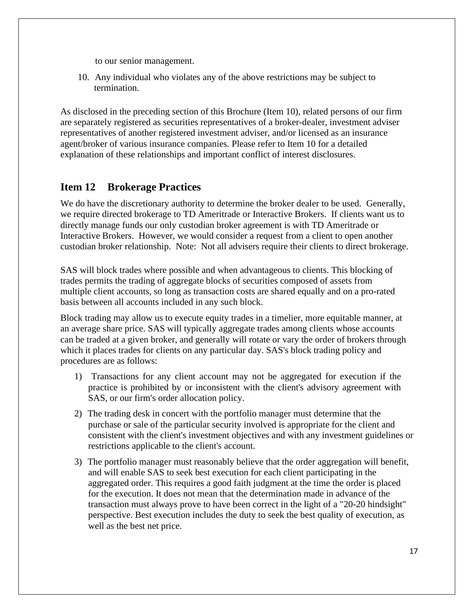to our senior management.

10. Any individual who violates any of the above restrictions may be subject to termination.

As disclosed in the preceding section of this Brochure (Item 10), related persons of our firm are separately registered as securities representatives of a broker-dealer, investment adviser representatives of another registered investment adviser, and/or licensed as an insurance agent/broker of various insurance companies*.* Please refer to Item 10 for a detailed explanation of these relationships and important conflict of interest disclosures.

## **Item 12 Brokerage Practices**

We do have the discretionary authority to determine the broker dealer to be used. Generally, we require directed brokerage to TD Ameritrade or Interactive Brokers. If clients want us to directly manage funds our only custodian broker agreement is with TD Ameritrade or Interactive Brokers. However, we would consider a request from a client to open another custodian broker relationship. Note: Not all advisers require their clients to direct brokerage.

SAS will block trades where possible and when advantageous to clients. This blocking of trades permits the trading of aggregate blocks of securities composed of assets from multiple client accounts, so long as transaction costs are shared equally and on a pro-rated basis between all accounts included in any such block.

Block trading may allow us to execute equity trades in a timelier, more equitable manner, at an average share price. SAS will typically aggregate trades among clients whose accounts can be traded at a given broker, and generally will rotate or vary the order of brokers through which it places trades for clients on any particular day. SAS's block trading policy and procedures are as follows:

- 1) Transactions for any client account may not be aggregated for execution if the practice is prohibited by or inconsistent with the client's advisory agreement with SAS, or our firm's order allocation policy.
- 2) The trading desk in concert with the portfolio manager must determine that the purchase or sale of the particular security involved is appropriate for the client and consistent with the client's investment objectives and with any investment guidelines or restrictions applicable to the client's account.
- 3) The portfolio manager must reasonably believe that the order aggregation will benefit, and will enable SAS to seek best execution for each client participating in the aggregated order. This requires a good faith judgment at the time the order is placed for the execution. It does not mean that the determination made in advance of the transaction must always prove to have been correct in the light of a "20-20 hindsight" perspective. Best execution includes the duty to seek the best quality of execution, as well as the best net price.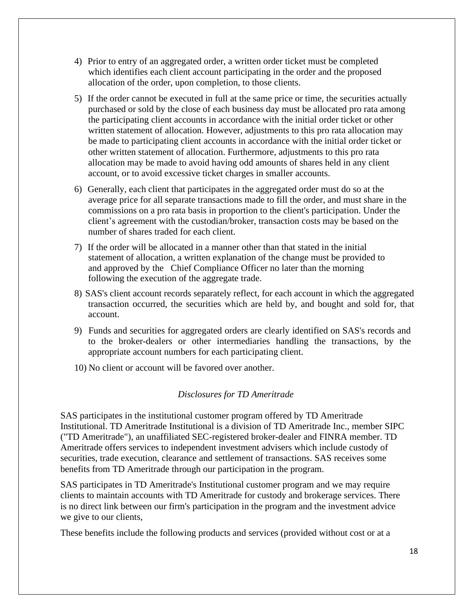- 4) Prior to entry of an aggregated order, a written order ticket must be completed which identifies each client account participating in the order and the proposed allocation of the order, upon completion, to those clients.
- 5) If the order cannot be executed in full at the same price or time, the securities actually purchased or sold by the close of each business day must be allocated pro rata among the participating client accounts in accordance with the initial order ticket or other written statement of allocation. However, adjustments to this pro rata allocation may be made to participating client accounts in accordance with the initial order ticket or other written statement of allocation. Furthermore, adjustments to this pro rata allocation may be made to avoid having odd amounts of shares held in any client account, or to avoid excessive ticket charges in smaller accounts.
- 6) Generally, each client that participates in the aggregated order must do so at the average price for all separate transactions made to fill the order, and must share in the commissions on a pro rata basis in proportion to the client's participation. Under the client's agreement with the custodian/broker, transaction costs may be based on the number of shares traded for each client.
- 7) If the order will be allocated in a manner other than that stated in the initial statement of allocation, a written explanation of the change must be provided to and approved by the Chief Compliance Officer no later than the morning following the execution of the aggregate trade.
- 8) SAS's client account records separately reflect, for each account in which the aggregated transaction occurred, the securities which are held by, and bought and sold for, that account.
- 9) Funds and securities for aggregated orders are clearly identified on SAS's records and to the broker-dealers or other intermediaries handling the transactions, by the appropriate account numbers for each participating client.
- 10) No client or account will be favored over another.

#### *Disclosures for TD Ameritrade*

SAS participates in the institutional customer program offered by TD Ameritrade Institutional. TD Ameritrade Institutional is a division of TD Ameritrade Inc., member SIPC ("TD Ameritrade"), an unaffiliated SEC-registered broker-dealer and FINRA member. TD Ameritrade offers services to independent investment advisers which include custody of securities, trade execution, clearance and settlement of transactions. SAS receives some benefits from TD Ameritrade through our participation in the program.

SAS participates in TD Ameritrade's Institutional customer program and we may require clients to maintain accounts with TD Ameritrade for custody and brokerage services. There is no direct link between our firm's participation in the program and the investment advice we give to our clients,

These benefits include the following products and services (provided without cost or at a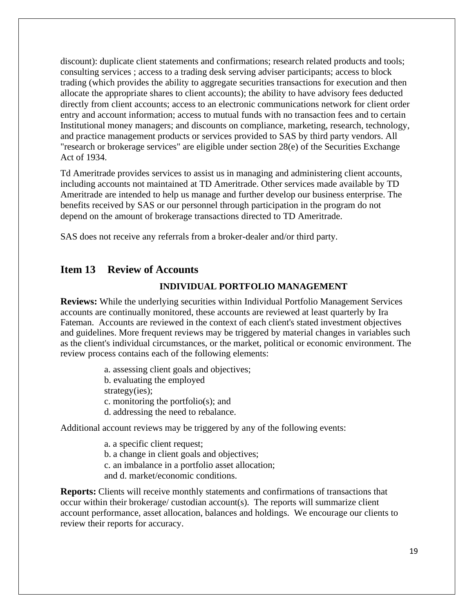discount): duplicate client statements and confirmations; research related products and tools; consulting services ; access to a trading desk serving adviser participants; access to block trading (which provides the ability to aggregate securities transactions for execution and then allocate the appropriate shares to client accounts); the ability to have advisory fees deducted directly from client accounts; access to an electronic communications network for client order entry and account information; access to mutual funds with no transaction fees and to certain Institutional money managers; and discounts on compliance, marketing, research, technology, and practice management products or services provided to SAS by third party vendors. All "research or brokerage services" are eligible under section 28(e) of the Securities Exchange Act of 1934.

Td Ameritrade provides services to assist us in managing and administering client accounts, including accounts not maintained at TD Ameritrade. Other services made available by TD Ameritrade are intended to help us manage and further develop our business enterprise. The benefits received by SAS or our personnel through participation in the program do not depend on the amount of brokerage transactions directed to TD Ameritrade.

SAS does not receive any referrals from a broker-dealer and/or third party.

## **Item 13 Review of Accounts**

#### **INDIVIDUAL PORTFOLIO MANAGEMENT**

**Reviews:** While the underlying securities within Individual Portfolio Management Services accounts are continually monitored, these accounts are reviewed at least quarterly by Ira Fateman. Accounts are reviewed in the context of each client's stated investment objectives and guidelines. More frequent reviews may be triggered by material changes in variables such as the client's individual circumstances, or the market, political or economic environment. The review process contains each of the following elements:

> a. assessing client goals and objectives; b. evaluating the employed strategy(ies); c. monitoring the portfolio(s); and d. addressing the need to rebalance.

Additional account reviews may be triggered by any of the following events:

a. a specific client request; b. a change in client goals and objectives; c. an imbalance in a portfolio asset allocation; and d. market/economic conditions.

**Reports:** Clients will receive monthly statements and confirmations of transactions that occur within their brokerage/ custodian account(s). The reports will summarize client account performance, asset allocation, balances and holdings. We encourage our clients to review their reports for accuracy.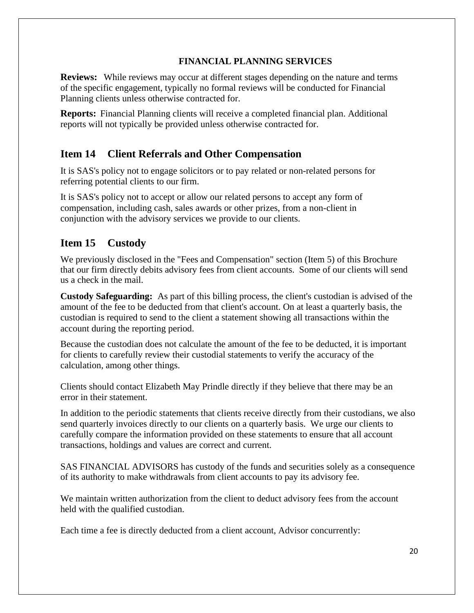### **FINANCIAL PLANNING SERVICES**

**Reviews:** While reviews may occur at different stages depending on the nature and terms of the specific engagement, typically no formal reviews will be conducted for Financial Planning clients unless otherwise contracted for.

**Reports:** Financial Planning clients will receive a completed financial plan. Additional reports will not typically be provided unless otherwise contracted for.

# **Item 14 Client Referrals and Other Compensation**

It is SAS's policy not to engage solicitors or to pay related or non-related persons for referring potential clients to our firm.

It is SAS's policy not to accept or allow our related persons to accept any form of compensation, including cash, sales awards or other prizes, from a non-client in conjunction with the advisory services we provide to our clients.

# **Item 15 Custody**

We previously disclosed in the "Fees and Compensation" section (Item 5) of this Brochure that our firm directly debits advisory fees from client accounts. Some of our clients will send us a check in the mail.

**Custody Safeguarding:** As part of this billing process, the client's custodian is advised of the amount of the fee to be deducted from that client's account. On at least a quarterly basis, the custodian is required to send to the client a statement showing all transactions within the account during the reporting period.

Because the custodian does not calculate the amount of the fee to be deducted, it is important for clients to carefully review their custodial statements to verify the accuracy of the calculation, among other things.

Clients should contact Elizabeth May Prindle directly if they believe that there may be an error in their statement.

In addition to the periodic statements that clients receive directly from their custodians, we also send quarterly invoices directly to our clients on a quarterly basis. We urge our clients to carefully compare the information provided on these statements to ensure that all account transactions, holdings and values are correct and current.

SAS FINANCIAL ADVISORS has custody of the funds and securities solely as a consequence of its authority to make withdrawals from client accounts to pay its advisory fee.

We maintain written authorization from the client to deduct advisory fees from the account held with the qualified custodian.

Each time a fee is directly deducted from a client account, Advisor concurrently: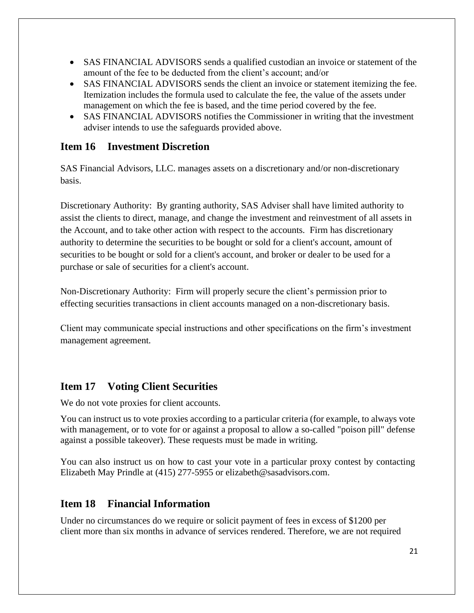- SAS FINANCIAL ADVISORS sends a qualified custodian an invoice or statement of the amount of the fee to be deducted from the client's account; and/or
- SAS FINANCIAL ADVISORS sends the client an invoice or statement itemizing the fee. Itemization includes the formula used to calculate the fee, the value of the assets under management on which the fee is based, and the time period covered by the fee.
- SAS FINANCIAL ADVISORS notifies the Commissioner in writing that the investment adviser intends to use the safeguards provided above.

## **Item 16 Investment Discretion**

SAS Financial Advisors, LLC. manages assets on a discretionary and/or non-discretionary basis.

Discretionary Authority: By granting authority, SAS Adviser shall have limited authority to assist the clients to direct, manage, and change the investment and reinvestment of all assets in the Account, and to take other action with respect to the accounts*.* Firm has discretionary authority to determine the securities to be bought or sold for a client's account, amount of securities to be bought or sold for a client's account, and broker or dealer to be used for a purchase or sale of securities for a client's account.

Non-Discretionary Authority: Firm will properly secure the client's permission prior to effecting securities transactions in client accounts managed on a non-discretionary basis.

Client may communicate special instructions and other specifications on the firm's investment management agreement*.* 

## **Item 17 Voting Client Securities**

We do not vote proxies for client accounts.

You can instruct us to vote proxies according to a particular criteria (for example, to always vote with management, or to vote for or against a proposal to allow a so-called "poison pill" defense against a possible takeover). These requests must be made in writing.

You can also instruct us on how to cast your vote in a particular proxy contest by contacting Elizabeth May Prindle at (415) 277-5955 or [elizabeth@sasadvisors.com.](mailto:scott@sasadvisors.com)

## **Item 18 Financial Information**

Under no circumstances do we require or solicit payment of fees in excess of \$1200 per client more than six months in advance of services rendered. Therefore, we are not required